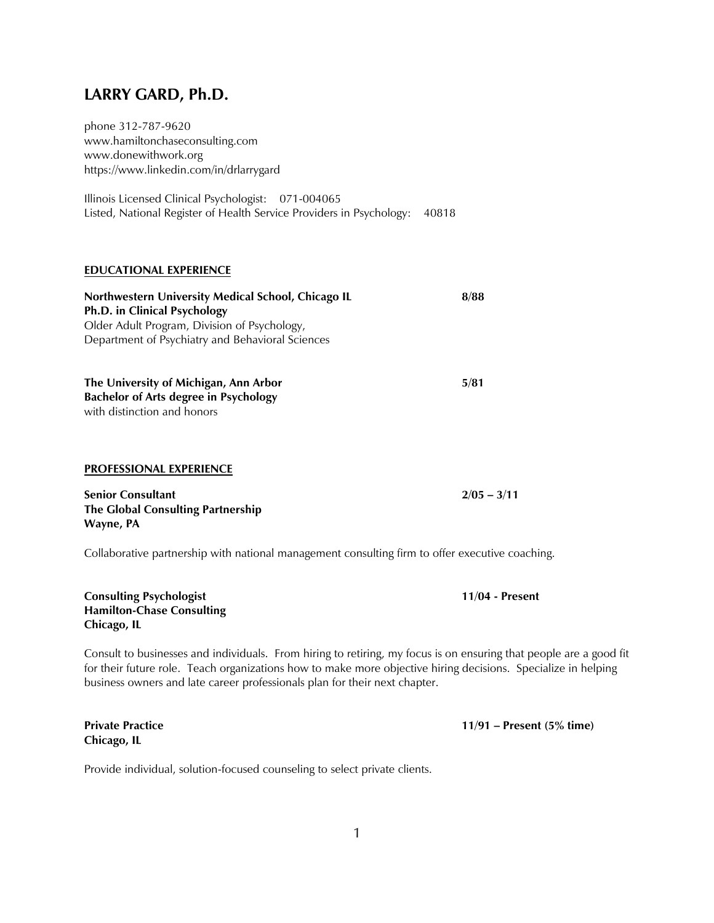# **LARRY GARD, Ph.D.**

phone 312-787-9620 www.hamiltonchaseconsulting.com www.donewithwork.org https://www.linkedin.com/in/drlarrygard

Illinois Licensed Clinical Psychologist: 071-004065 Listed, National Register of Health Service Providers in Psychology: 40818

# **EDUCATIONAL EXPERIENCE**

| Northwestern University Medical School, Chicago IL | 8/88  |
|----------------------------------------------------|-------|
| Ph.D. in Clinical Psychology                       |       |
| Older Adult Program, Division of Psychology,       |       |
| Department of Psychiatry and Behavioral Sciences   |       |
|                                                    |       |
| . The Hubble of Miller Holder Alex Albert          | P /∩4 |

**The University of Michigan, Ann Arbor 5/81 Bachelor of Arts degree in Psychology** with distinction and honors

# **PROFESSIONAL EXPERIENCE**

**Senior Consultant 2/05 – 3/11 The Global Consulting Partnership Wayne, PA**

Collaborative partnership with national management consulting firm to offer executive coaching.

**Consulting Psychologist 11/04 - Present Hamilton-Chase Consulting Chicago, IL**

Consult to businesses and individuals. From hiring to retiring, my focus is on ensuring that people are a good fit for their future role. Teach organizations how to make more objective hiring decisions. Specialize in helping business owners and late career professionals plan for their next chapter.

**Chicago, IL**

Provide individual, solution-focused counseling to select private clients.

**Private Practice 11/91 – Present (5% time)**